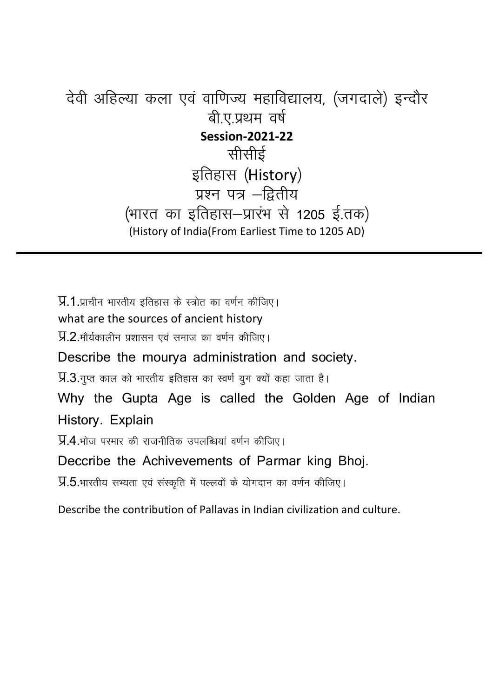## देवी अहिल्या कला एवं वाणिज्य महाविद्यालय, (जगदाले) इन्दौर बी ए.प्रथम वर्ष **Session-2021-22** सीर्सीई इतिहास (History) प्रश्न पत्र $-\mathbf{r}$ तीय (भारत का इतिहास-प्रारंभ से 1205 ई.तक) (History of India(From Earliest Time to 1205 AD)

 $\overline{y}$ .1 प्राचीन भारतीय इतिहास के स्त्रोत का वर्णन कीजिए। what are the sources of ancient history  $\overline{y}$ .2. मौर्यकालीन प्रशासन एवं समाज का वर्णन कीजिए। Describe the mourya administration and society.  $\overline{y}$ .3. गुप्त काल को भारतीय इतिहास का स्वर्ण युग क्यों कहा जाता है। Why the Gupta Age is called the Golden Age of Indian History. Explain  $\overline{y}$ 4 भोज परमार की राजनीतिक उपलब्धियां वर्णन कीजिए। Deccribe the Achivevements of Parmar king Bhoj.  $\overline{y}.5.$ भारतीय सभ्यता एवं संस्कृति में पल्लवों के योगदान का वर्णन कीजिए।

Describe the contribution of Pallavas in Indian civilization and culture.